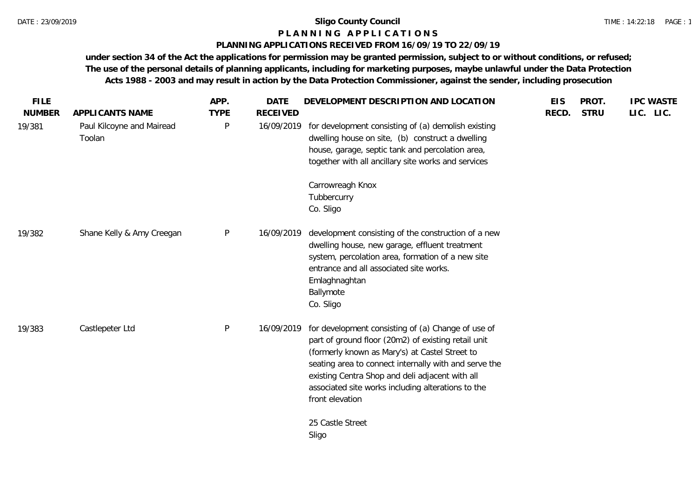### **P L A N N I N G A P P L I C A T I O N S**

### **PLANNING APPLICATIONS RECEIVED FROM 16/09/19 TO 22/09/19**

| <b>FILE</b><br><b>NUMBER</b> | APPLICANTS NAME                     | APP.<br><b>TYPE</b> | <b>DATE</b><br><b>RECEIVED</b> | DEVELOPMENT DESCRIPTION AND LOCATION                                                                                                                                                                                                                                                                                                             | <b>EIS</b><br>RECD. | PROT.<br><b>STRU</b> | <b>IPC WASTE</b><br>LIC. LIC. |  |
|------------------------------|-------------------------------------|---------------------|--------------------------------|--------------------------------------------------------------------------------------------------------------------------------------------------------------------------------------------------------------------------------------------------------------------------------------------------------------------------------------------------|---------------------|----------------------|-------------------------------|--|
| 19/381                       | Paul Kilcoyne and Mairead<br>Toolan | P                   | 16/09/2019                     | for development consisting of (a) demolish existing<br>dwelling house on site, (b) construct a dwelling<br>house, garage, septic tank and percolation area,<br>together with all ancillary site works and services                                                                                                                               |                     |                      |                               |  |
|                              |                                     |                     |                                | Carrowreagh Knox<br>Tubbercurry<br>Co. Sligo                                                                                                                                                                                                                                                                                                     |                     |                      |                               |  |
| 19/382                       | Shane Kelly & Amy Creegan           | P                   | 16/09/2019                     | development consisting of the construction of a new<br>dwelling house, new garage, effluent treatment<br>system, percolation area, formation of a new site<br>entrance and all associated site works.<br>Emlaghnaghtan<br>Ballymote<br>Co. Sligo                                                                                                 |                     |                      |                               |  |
| 19/383                       | Castlepeter Ltd                     | P                   | 16/09/2019                     | for development consisting of (a) Change of use of<br>part of ground floor (20m2) of existing retail unit<br>(formerly known as Mary's) at Castel Street to<br>seating area to connect internally with and serve the<br>existing Centra Shop and deli adjacent with all<br>associated site works including alterations to the<br>front elevation |                     |                      |                               |  |
|                              |                                     |                     |                                | 25 Castle Street<br>Sligo                                                                                                                                                                                                                                                                                                                        |                     |                      |                               |  |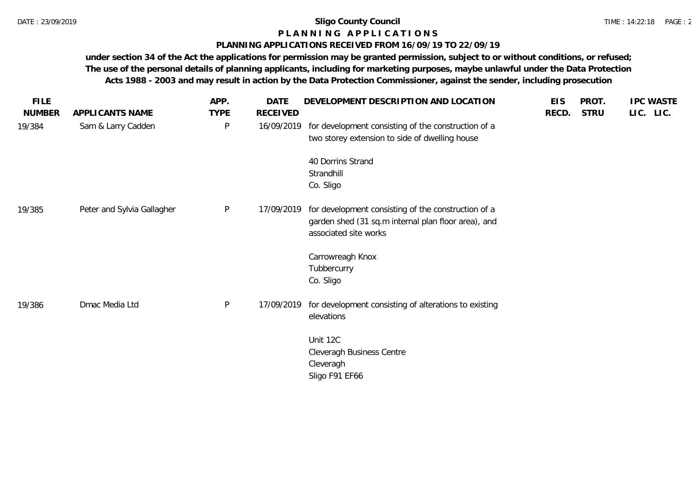# **P L A N N I N G A P P L I C A T I O N S**

### **PLANNING APPLICATIONS RECEIVED FROM 16/09/19 TO 22/09/19**

| <b>FILE</b>   |                            | APP.         | DATE       | DEVELOPMENT DESCRIPTION AND LOCATION                                                                                                | <b>EIS</b> | PROT.       | <b>IPC WASTE</b> |
|---------------|----------------------------|--------------|------------|-------------------------------------------------------------------------------------------------------------------------------------|------------|-------------|------------------|
| <b>NUMBER</b> | APPLICANTS NAME            | <b>TYPE</b>  | RECEIVED   |                                                                                                                                     | RECD.      | <b>STRU</b> | LIC. LIC.        |
| 19/384        | Sam & Larry Cadden         | $\mathsf{P}$ | 16/09/2019 | for development consisting of the construction of a<br>two storey extension to side of dwelling house                               |            |             |                  |
|               |                            |              |            | 40 Dorrins Strand<br>Strandhill                                                                                                     |            |             |                  |
|               |                            |              |            | Co. Sligo                                                                                                                           |            |             |                  |
| 19/385        | Peter and Sylvia Gallagher | P            | 17/09/2019 | for development consisting of the construction of a<br>garden shed (31 sq.m internal plan floor area), and<br>associated site works |            |             |                  |
|               |                            |              |            | Carrowreagh Knox                                                                                                                    |            |             |                  |
|               |                            |              |            | Tubbercurry                                                                                                                         |            |             |                  |
|               |                            |              |            | Co. Sligo                                                                                                                           |            |             |                  |
| 19/386        | Dmac Media Ltd             | P            | 17/09/2019 | for development consisting of alterations to existing<br>elevations                                                                 |            |             |                  |
|               |                            |              |            |                                                                                                                                     |            |             |                  |
|               |                            |              |            | Unit 12C                                                                                                                            |            |             |                  |
|               |                            |              |            | Cleveragh Business Centre                                                                                                           |            |             |                  |
|               |                            |              |            | Cleveragh<br>Sligo F91 EF66                                                                                                         |            |             |                  |
|               |                            |              |            |                                                                                                                                     |            |             |                  |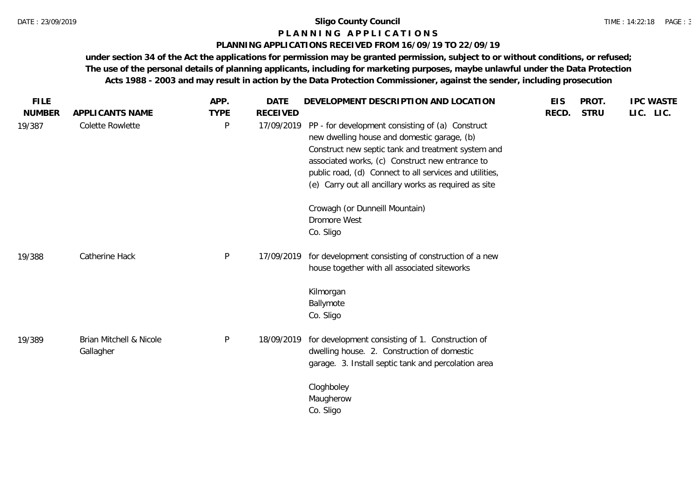#### TIME : 14:22:18 PAGE : 3

### **P L A N N I N G A P P L I C A T I O N S**

### **PLANNING APPLICATIONS RECEIVED FROM 16/09/19 TO 22/09/19**

| <b>FILE</b>   |                                      | APP.        | <b>DATE</b>     | DEVELOPMENT DESCRIPTION AND LOCATION                                                                                                                                                                                                                                                                                         | <b>EIS</b> | PROT.       | <b>IPC WASTE</b> |
|---------------|--------------------------------------|-------------|-----------------|------------------------------------------------------------------------------------------------------------------------------------------------------------------------------------------------------------------------------------------------------------------------------------------------------------------------------|------------|-------------|------------------|
| <b>NUMBER</b> | APPLICANTS NAME                      | <b>TYPE</b> | <b>RECEIVED</b> |                                                                                                                                                                                                                                                                                                                              | RECD.      | <b>STRU</b> | LIC. LIC.        |
| 19/387        | Colette Rowlette                     | $\sf P$     | 17/09/2019      | PP - for development consisting of (a) Construct<br>new dwelling house and domestic garage, (b)<br>Construct new septic tank and treatment system and<br>associated works, (c) Construct new entrance to<br>public road, (d) Connect to all services and utilities,<br>(e) Carry out all ancillary works as required as site |            |             |                  |
|               |                                      |             |                 | Crowagh (or Dunneill Mountain)<br><b>Dromore West</b><br>Co. Sligo                                                                                                                                                                                                                                                           |            |             |                  |
| 19/388        | Catherine Hack                       | $\sf P$     | 17/09/2019      | for development consisting of construction of a new<br>house together with all associated siteworks                                                                                                                                                                                                                          |            |             |                  |
|               |                                      |             |                 | Kilmorgan<br>Ballymote<br>Co. Sligo                                                                                                                                                                                                                                                                                          |            |             |                  |
| 19/389        | Brian Mitchell & Nicole<br>Gallagher | $\sf P$     | 18/09/2019      | for development consisting of 1. Construction of<br>dwelling house. 2. Construction of domestic<br>garage. 3. Install septic tank and percolation area                                                                                                                                                                       |            |             |                  |
|               |                                      |             |                 | Cloghboley<br>Maugherow<br>Co. Sligo                                                                                                                                                                                                                                                                                         |            |             |                  |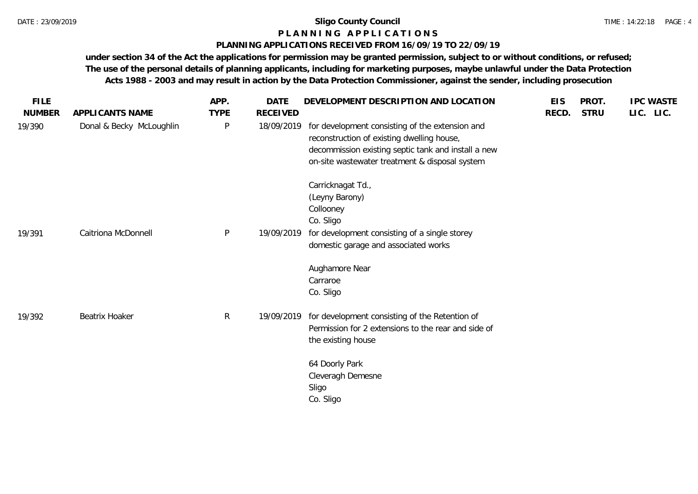### **P L A N N I N G A P P L I C A T I O N S**

### **PLANNING APPLICATIONS RECEIVED FROM 16/09/19 TO 22/09/19**

| <b>STRU</b><br>LIC. LIC.<br><b>NUMBER</b><br><b>TYPE</b><br><b>RECEIVED</b><br>RECD.<br>APPLICANTS NAME<br>Donal & Becky McLoughlin<br>$\mathsf{P}$<br>for development consisting of the extension and<br>19/390<br>18/09/2019<br>reconstruction of existing dwelling house,<br>decommission existing septic tank and install a new<br>on-site wastewater treatment & disposal system<br>Carricknagat Td.,<br>(Leyny Barony)<br>Collooney<br>Co. Sligo<br>Caitriona McDonnell<br>$\mathsf{P}$<br>for development consisting of a single storey<br>19/09/2019<br>19/391<br>domestic garage and associated works<br>Aughamore Near<br>Carraroe<br>Co. Sligo<br>$\mathsf{R}$<br>for development consisting of the Retention of<br><b>Beatrix Hoaker</b><br>19/09/2019<br>19/392<br>Permission for 2 extensions to the rear and side of<br>the existing house<br>64 Doorly Park<br>Cleveragh Demesne<br>Sligo<br>Co. Sligo | <b>FILE</b> | APP. | <b>DATE</b> | DEVELOPMENT DESCRIPTION AND LOCATION | <b>EIS</b> | PROT. | <b>IPC WASTE</b> |
|------------------------------------------------------------------------------------------------------------------------------------------------------------------------------------------------------------------------------------------------------------------------------------------------------------------------------------------------------------------------------------------------------------------------------------------------------------------------------------------------------------------------------------------------------------------------------------------------------------------------------------------------------------------------------------------------------------------------------------------------------------------------------------------------------------------------------------------------------------------------------------------------------------------------|-------------|------|-------------|--------------------------------------|------------|-------|------------------|
|                                                                                                                                                                                                                                                                                                                                                                                                                                                                                                                                                                                                                                                                                                                                                                                                                                                                                                                        |             |      |             |                                      |            |       |                  |
|                                                                                                                                                                                                                                                                                                                                                                                                                                                                                                                                                                                                                                                                                                                                                                                                                                                                                                                        |             |      |             |                                      |            |       |                  |
|                                                                                                                                                                                                                                                                                                                                                                                                                                                                                                                                                                                                                                                                                                                                                                                                                                                                                                                        |             |      |             |                                      |            |       |                  |
|                                                                                                                                                                                                                                                                                                                                                                                                                                                                                                                                                                                                                                                                                                                                                                                                                                                                                                                        |             |      |             |                                      |            |       |                  |
|                                                                                                                                                                                                                                                                                                                                                                                                                                                                                                                                                                                                                                                                                                                                                                                                                                                                                                                        |             |      |             |                                      |            |       |                  |
|                                                                                                                                                                                                                                                                                                                                                                                                                                                                                                                                                                                                                                                                                                                                                                                                                                                                                                                        |             |      |             |                                      |            |       |                  |
|                                                                                                                                                                                                                                                                                                                                                                                                                                                                                                                                                                                                                                                                                                                                                                                                                                                                                                                        |             |      |             |                                      |            |       |                  |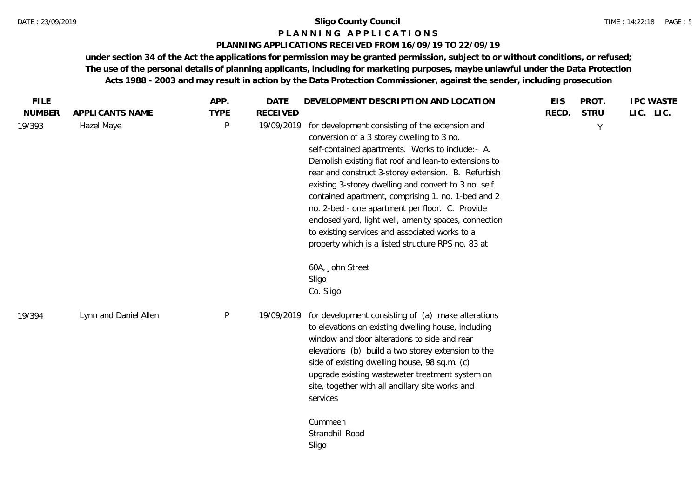### **P L A N N I N G A P P L I C A T I O N S**

### **PLANNING APPLICATIONS RECEIVED FROM 16/09/19 TO 22/09/19**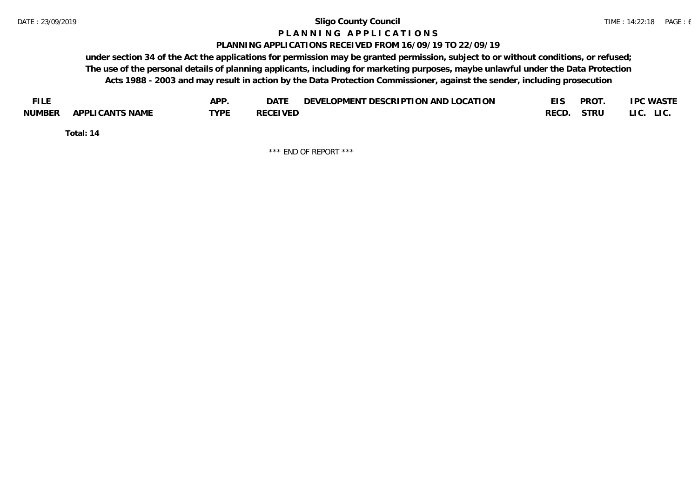#### **P L A N N I N G A P P L I C A T I O N S**

### **PLANNING APPLICATIONS RECEIVED FROM 16/09/19 TO 22/09/19**

**under section 34 of the Act the applications for permission may be granted permission, subject to or without conditions, or refused; The use of the personal details of planning applicants, including for marketing purposes, maybe unlawful under the Data Protection Acts 1988 - 2003 and may result in action by the Data Protection Commissioner, against the sender, including prosecution**

| <b>FILE</b> |                 | <b>APP</b> | DATE            | DEVELOPMENT DESCRIPTION AND LOCATION | <b>PROT</b> | <b>IPC WASTE</b> |
|-------------|-----------------|------------|-----------------|--------------------------------------|-------------|------------------|
| NUMBER      | APPLICANTS NAME | TYPF       | <b>RECEIVED</b> |                                      | RECD. STRU  | LI C.<br>LIC.    |

**Total: 14**

\*\*\* END OF REPORT \*\*\*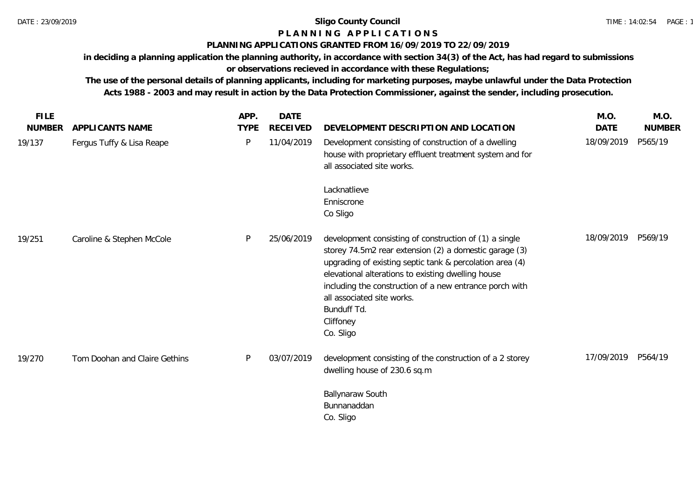# **P L A N N I N G A P P L I C A T I O N S**

## **PLANNING APPLICATIONS GRANTED FROM 16/09/2019 TO 22/09/2019**

**in deciding a planning application the planning authority, in accordance with section 34(3) of the Act, has had regard to submissions or observations recieved in accordance with these Regulations;**

| <b>FILE</b>   |                               | APP.        | <b>DATE</b>     |                                                                                                                                                                                                                                                                                                                                                                      | M.O.        | M.O.          |
|---------------|-------------------------------|-------------|-----------------|----------------------------------------------------------------------------------------------------------------------------------------------------------------------------------------------------------------------------------------------------------------------------------------------------------------------------------------------------------------------|-------------|---------------|
| <b>NUMBER</b> | APPLICANTS NAME               | <b>TYPE</b> | <b>RECEIVED</b> | DEVELOPMENT DESCRIPTION AND LOCATION                                                                                                                                                                                                                                                                                                                                 | <b>DATE</b> | <b>NUMBER</b> |
| 19/137        | Fergus Tuffy & Lisa Reape     | P           | 11/04/2019      | Development consisting of construction of a dwelling<br>house with proprietary effluent treatment system and for<br>all associated site works.                                                                                                                                                                                                                       | 18/09/2019  | P565/19       |
|               |                               |             |                 | Lacknatlieve<br>Enniscrone<br>Co Sligo                                                                                                                                                                                                                                                                                                                               |             |               |
| 19/251        | Caroline & Stephen McCole     | P           | 25/06/2019      | development consisting of construction of (1) a single<br>storey 74.5m2 rear extension (2) a domestic garage (3)<br>upgrading of existing septic tank & percolation area (4)<br>elevational alterations to existing dwelling house<br>including the construction of a new entrance porch with<br>all associated site works.<br>Bunduff Td.<br>Cliffoney<br>Co. Sligo | 18/09/2019  | P569/19       |
| 19/270        | Tom Doohan and Claire Gethins | P           | 03/07/2019      | development consisting of the construction of a 2 storey<br>dwelling house of 230.6 sq.m                                                                                                                                                                                                                                                                             | 17/09/2019  | P564/19       |
|               |                               |             |                 | Ballynaraw South<br>Bunnanaddan<br>Co. Sligo                                                                                                                                                                                                                                                                                                                         |             |               |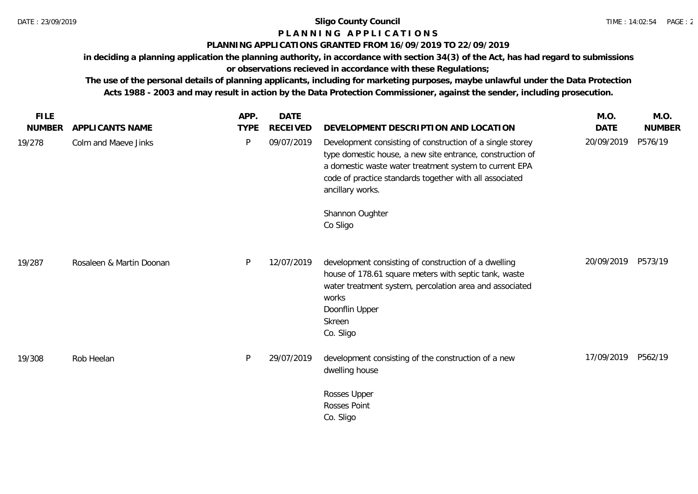# **P L A N N I N G A P P L I C A T I O N S**

# **PLANNING APPLICATIONS GRANTED FROM 16/09/2019 TO 22/09/2019**

**in deciding a planning application the planning authority, in accordance with section 34(3) of the Act, has had regard to submissions or observations recieved in accordance with these Regulations;**

| <b>FILE</b>   |                          | APP.        | <b>DATE</b> |                                                                                                                                                                                                                                                                 | M.O.        | M.O.          |
|---------------|--------------------------|-------------|-------------|-----------------------------------------------------------------------------------------------------------------------------------------------------------------------------------------------------------------------------------------------------------------|-------------|---------------|
| <b>NUMBER</b> | APPLICANTS NAME          | <b>TYPE</b> | RECEIVED    | DEVELOPMENT DESCRIPTION AND LOCATION                                                                                                                                                                                                                            | <b>DATE</b> | <b>NUMBER</b> |
| 19/278        | Colm and Maeve Jinks     | P           | 09/07/2019  | Development consisting of construction of a single storey<br>type domestic house, a new site entrance, construction of<br>a domestic waste water treatment system to current EPA<br>code of practice standards together with all associated<br>ancillary works. | 20/09/2019  | P576/19       |
|               |                          |             |             | Shannon Oughter<br>Co Sligo                                                                                                                                                                                                                                     |             |               |
| 19/287        | Rosaleen & Martin Doonan | P           | 12/07/2019  | development consisting of construction of a dwelling<br>house of 178.61 square meters with septic tank, waste<br>water treatment system, percolation area and associated<br>works<br>Doonflin Upper<br>Skreen<br>Co. Sligo                                      | 20/09/2019  | P573/19       |
| 19/308        | Rob Heelan               | P           | 29/07/2019  | development consisting of the construction of a new<br>dwelling house                                                                                                                                                                                           | 17/09/2019  | P562/19       |
|               |                          |             |             | Rosses Upper<br><b>Rosses Point</b><br>Co. Sligo                                                                                                                                                                                                                |             |               |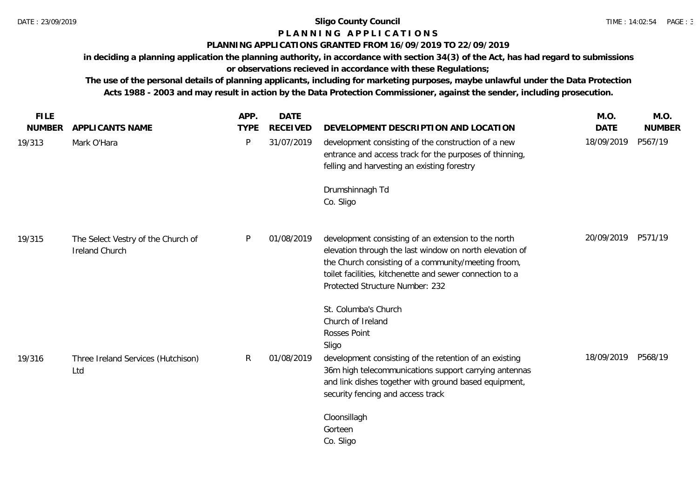# **P L A N N I N G A P P L I C A T I O N S**

## **PLANNING APPLICATIONS GRANTED FROM 16/09/2019 TO 22/09/2019**

**in deciding a planning application the planning authority, in accordance with section 34(3) of the Act, has had regard to submissions or observations recieved in accordance with these Regulations;**

| <b>FILE</b><br><b>NUMBER</b> | <b>APPLICANTS NAME</b>                               | APP.<br><b>TYPE</b> | <b>DATE</b><br><b>RECEIVED</b> | DEVELOPMENT DESCRIPTION AND LOCATION                                                                                                                                                                                                                                                | M.O.<br><b>DATE</b> | M.O.<br><b>NUMBER</b> |
|------------------------------|------------------------------------------------------|---------------------|--------------------------------|-------------------------------------------------------------------------------------------------------------------------------------------------------------------------------------------------------------------------------------------------------------------------------------|---------------------|-----------------------|
| 19/313                       | Mark O'Hara                                          | P                   | 31/07/2019                     | development consisting of the construction of a new<br>entrance and access track for the purposes of thinning,<br>felling and harvesting an existing forestry                                                                                                                       | 18/09/2019          | P567/19               |
|                              |                                                      |                     |                                | Drumshinnagh Td<br>Co. Sligo                                                                                                                                                                                                                                                        |                     |                       |
| 19/315                       | The Select Vestry of the Church of<br>Ireland Church | P                   | 01/08/2019                     | development consisting of an extension to the north<br>elevation through the last window on north elevation of<br>the Church consisting of a community/meeting froom,<br>toilet facilities, kitchenette and sewer connection to a<br>Protected Structure Number: 232                | 20/09/2019          | P571/19               |
| 19/316                       | Three Ireland Services (Hutchison)<br>Ltd            | R                   | 01/08/2019                     | St. Columba's Church<br>Church of Ireland<br>Rosses Point<br>Sligo<br>development consisting of the retention of an existing<br>36m high telecommunications support carrying antennas<br>and link dishes together with ground based equipment,<br>security fencing and access track | 18/09/2019          | P568/19               |
|                              |                                                      |                     |                                | Cloonsillagh<br>Gorteen<br>Co. Sligo                                                                                                                                                                                                                                                |                     |                       |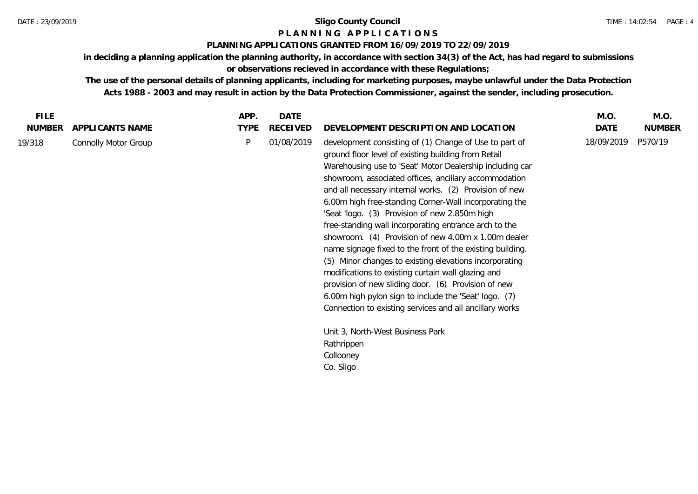### **P L A N N I N G A P P L I C A T I O N S**

### **PLANNING APPLICATIONS GRANTED FROM 16/09/2019 TO 22/09/2019**

**in deciding a planning application the planning authority, in accordance with section 34(3) of the Act, has had regard to submissions or observations recieved in accordance with these Regulations;**

| <b>NUMBER</b><br><b>TYPE</b><br><b>RECEIVED</b><br>DATE<br>DEVELOPMENT DESCRIPTION AND LOCATION<br><b>NUMBER</b><br>APPLICANTS NAME<br>18/09/2019<br>P570/19<br>P<br>01/08/2019<br>19/318<br>development consisting of (1) Change of Use to part of<br>Connolly Motor Group<br>ground floor level of existing building from Retail<br>Warehousing use to 'Seat' Motor Dealership including car<br>showroom, associated offices, ancillary accommodation<br>and all necessary internal works. (2) Provision of new<br>6.00m high free-standing Corner-Wall incorporating the<br>'Seat 'logo. (3) Provision of new 2.850m high<br>free-standing wall incorporating entrance arch to the<br>showroom. (4) Provision of new 4.00m x 1.00m dealer<br>name signage fixed to the front of the existing building.<br>(5) Minor changes to existing elevations incorporating<br>modifications to existing curtain wall glazing and<br>provision of new sliding door. (6) Provision of new<br>6.00m high pylon sign to include the 'Seat' logo. (7)<br>Connection to existing services and all ancillary works<br>Unit 3, North-West Business Park<br>Rathrippen<br>Collooney | Co. Sligo | <b>FILE</b> | APP. | DATE | M.O. | M.O. |
|---------------------------------------------------------------------------------------------------------------------------------------------------------------------------------------------------------------------------------------------------------------------------------------------------------------------------------------------------------------------------------------------------------------------------------------------------------------------------------------------------------------------------------------------------------------------------------------------------------------------------------------------------------------------------------------------------------------------------------------------------------------------------------------------------------------------------------------------------------------------------------------------------------------------------------------------------------------------------------------------------------------------------------------------------------------------------------------------------------------------------------------------------------------------|-----------|-------------|------|------|------|------|
|                                                                                                                                                                                                                                                                                                                                                                                                                                                                                                                                                                                                                                                                                                                                                                                                                                                                                                                                                                                                                                                                                                                                                                     |           |             |      |      |      |      |
|                                                                                                                                                                                                                                                                                                                                                                                                                                                                                                                                                                                                                                                                                                                                                                                                                                                                                                                                                                                                                                                                                                                                                                     |           |             |      |      |      |      |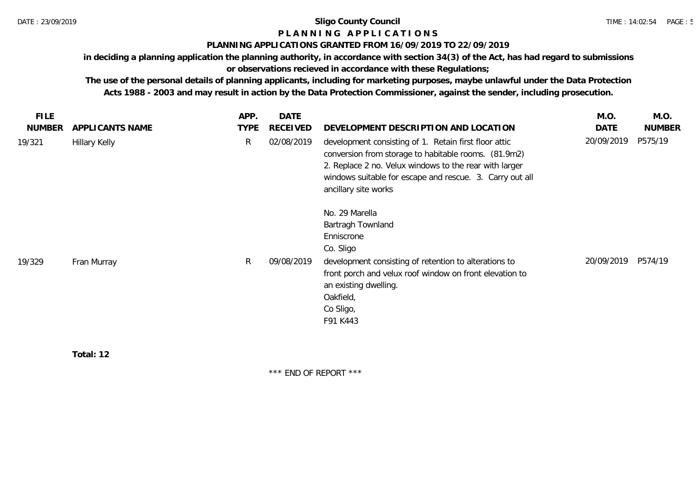# **P L A N N I N G A P P L I C A T I O N S**

### **PLANNING APPLICATIONS GRANTED FROM 16/09/2019 TO 22/09/2019**

**in deciding a planning application the planning authority, in accordance with section 34(3) of the Act, has had regard to submissions** 

**or observations recieved in accordance with these Regulations;**

**The use of the personal details of planning applicants, including for marketing purposes, maybe unlawful under the Data Protection Acts 1988 - 2003 and may result in action by the Data Protection Commissioner, against the sender, including prosecution.**

| <b>FILE</b>   |                      | APP.        | <b>DATE</b> |                                                                                                                                                                                                                                                             | M.O.       | M.O.          |
|---------------|----------------------|-------------|-------------|-------------------------------------------------------------------------------------------------------------------------------------------------------------------------------------------------------------------------------------------------------------|------------|---------------|
| <b>NUMBER</b> | APPLICANTS NAME      | <b>TYPE</b> | RECEIVED    | DEVELOPMENT DESCRIPTION AND LOCATION                                                                                                                                                                                                                        | DATE       | <b>NUMBER</b> |
| 19/321        | <b>Hillary Kelly</b> | R.          | 02/08/2019  | development consisting of 1. Retain first floor attic<br>conversion from storage to habitable rooms. (81.9m2)<br>2. Replace 2 no. Velux windows to the rear with larger<br>windows suitable for escape and rescue. 3. Carry out all<br>ancillary site works | 20/09/2019 | P575/19       |
| 19/329        | Fran Murray          | R.          | 09/08/2019  | No. 29 Marella<br>Bartragh Townland<br>Enniscrone<br>Co. Sligo<br>development consisting of retention to alterations to<br>front porch and velux roof window on front elevation to<br>an existing dwelling.                                                 | 20/09/2019 | P574/19       |
|               |                      |             |             | Oakfield,<br>Co Sligo,<br>F91 K443                                                                                                                                                                                                                          |            |               |

**Total: 12**

\*\*\* END OF REPORT \*\*\*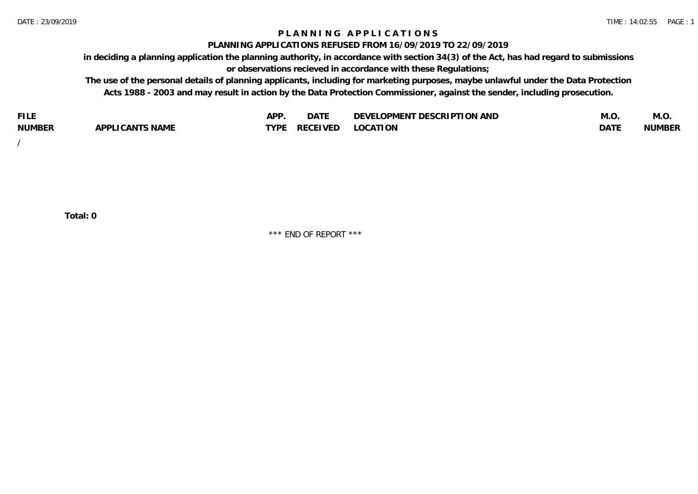### **P L A N N I N G A P P L I C A T I O N S**

#### **PLANNING APPLICATIONS REFUSED FROM 16/09/2019 TO 22/09/2019**

**in deciding a planning application the planning authority, in accordance with section 34(3) of the Act, has had regard to submissions or observations recieved in accordance with these Regulations;**

**The use of the personal details of planning applicants, including for marketing purposes, maybe unlawful under the Data Protection Acts 1988 - 2003 and may result in action by the Data Protection Commissioner, against the sender, including prosecution.**

| <b>FILE</b>   |                                                     | A DE        | $\sim$ $\sim$ $\sim$<br>DA I | <b>ENT DESCRIPTION AND</b><br>$\cap$ nn.<br>)E\/F<br>. JIEN L<br>பட | IVI.U       | IVI.U         |
|---------------|-----------------------------------------------------|-------------|------------------------------|---------------------------------------------------------------------|-------------|---------------|
| <b>NUMBER</b> | <b>ANTS NAME</b><br>A DDI<br>$\sqrt{2}$<br>CAN<br>u | <b>TVDL</b> | ◡⊢                           | <b>OCATION</b>                                                      | <b>DATF</b> | <b>NUMBER</b> |

/

**Total: 0**

\*\*\* END OF REPORT \*\*\*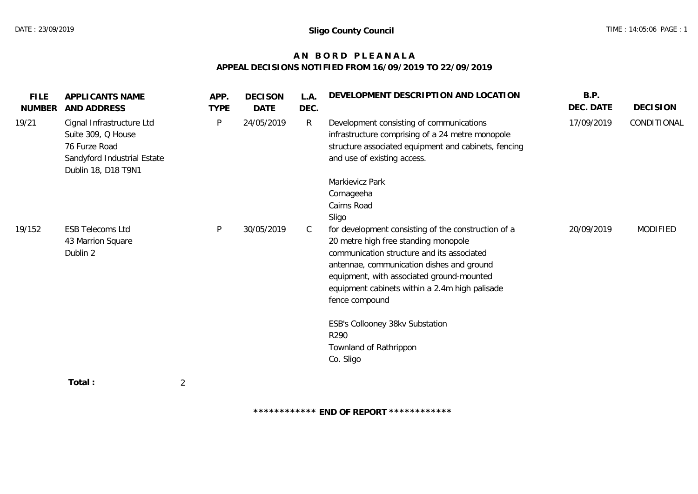# **A N B O R D P L E A N A L A APPEAL DECISIONS NOTIFIED FROM 16/09/2019 TO 22/09/2019**

| <b>FILE</b><br><b>NUMBER</b> | APPLICANTS NAME<br>AND ADDRESS                                                                                         | APP.<br><b>TYPE</b> | <b>DECISON</b><br>DATE | L.A.<br>DEC. | DEVELOPMENT DESCRIPTION AND LOCATION                                                                                                                                                                                                                                                                    | B.P.<br>DEC. DATE | <b>DECISION</b> |
|------------------------------|------------------------------------------------------------------------------------------------------------------------|---------------------|------------------------|--------------|---------------------------------------------------------------------------------------------------------------------------------------------------------------------------------------------------------------------------------------------------------------------------------------------------------|-------------------|-----------------|
| 19/21                        | Cignal Infrastructure Ltd<br>Suite 309, Q House<br>76 Furze Road<br>Sandyford Industrial Estate<br>Dublin 18, D18 T9N1 | P                   | 24/05/2019             | R            | Development consisting of communications<br>infrastructure comprising of a 24 metre monopole<br>structure associated equipment and cabinets, fencing<br>and use of existing access.                                                                                                                     | 17/09/2019        | CONDITIONAL     |
|                              |                                                                                                                        |                     |                        |              | Markievicz Park<br>Cornageeha<br>Cairns Road<br>Sligo                                                                                                                                                                                                                                                   |                   |                 |
| 19/152                       | <b>ESB Telecoms Ltd</b><br>43 Marrion Square<br>Dublin 2                                                               | P                   | 30/05/2019             | C            | for development consisting of the construction of a<br>20 metre high free standing monopole<br>communication structure and its associated<br>antennae, communication dishes and ground<br>equipment, with associated ground-mounted<br>equipment cabinets within a 2.4m high palisade<br>fence compound | 20/09/2019        | MODIFIED        |
|                              |                                                                                                                        |                     |                        |              | ESB's Collooney 38kv Substation<br>R290<br>Townland of Rathrippon<br>Co. Sligo                                                                                                                                                                                                                          |                   |                 |
|                              | Total:<br>$\overline{2}$                                                                                               |                     |                        |              |                                                                                                                                                                                                                                                                                                         |                   |                 |

**\*\*\*\*\*\*\*\*\*\*\*\* END OF REPORT \*\*\*\*\*\*\*\*\*\*\*\***